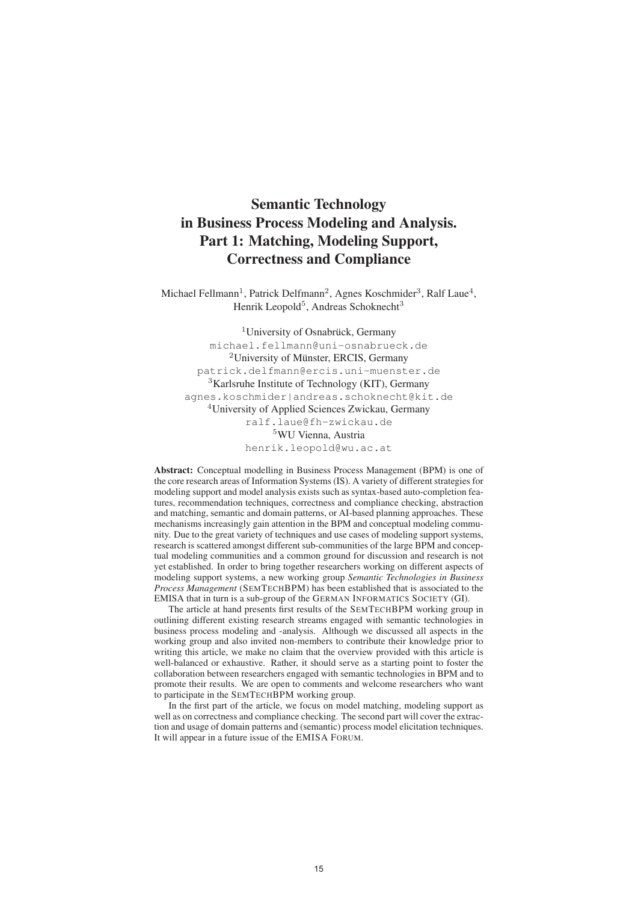# Semantic Technology in Business Process Modeling and Analysis. Part 1: Matching, Modeling Support, Correctness and Compliance

Michael Fellmann<sup>1</sup>, Patrick Delfmann<sup>2</sup>, Agnes Koschmider<sup>3</sup>, Ralf Laue<sup>4</sup>, Henrik Leopold<sup>5</sup>, Andreas Schoknecht<sup>3</sup>

<sup>1</sup>University of Osnabrück, Germany michael.fellmann@uni-osnabrueck.de  $2$ University of Münster, ERCIS, Germany patrick.delfmann@ercis.uni-muenster.de <sup>3</sup>Karlsruhe Institute of Technology (KIT), Germany agnes.koschmider|andreas.schoknecht@kit.de <sup>4</sup>University of Applied Sciences Zwickau, Germany ralf.laue@fh-zwickau.de <sup>5</sup>WU Vienna, Austria henrik.leopold@wu.ac.at

Abstract: Conceptual modelling in Business Process Management (BPM) is one of the core research areas of Information Systems (IS). A variety of different strategies for modeling support and model analysis exists such as syntax-based auto-completion features, recommendation techniques, correctness and compliance checking, abstraction and matching, semantic and domain patterns, or AI-based planning approaches. These mechanisms increasingly gain attention in the BPM and conceptual modeling community. Due to the great variety of techniques and use cases of modeling support systems, research is scattered amongst different sub-communities of the large BPM and conceptual modeling communities and a common ground for discussion and research is not yet established. In order to bring together researchers working on different aspects of modeling support systems, a new working group *Semantic Technologies in Business Process Management* (SEMTECHBPM) has been established that is associated to the EMISA that in turn is a sub-group of the GERMAN INFORMATICS SOCIETY (GI).

The article at hand presents first results of the SEMTECHBPM working group in outlining different existing research streams engaged with semantic technologies in business process modeling and -analysis. Although we discussed all aspects in the working group and also invited non-members to contribute their knowledge prior to writing this article, we make no claim that the overview provided with this article is well-balanced or exhaustive. Rather, it should serve as a starting point to foster the collaboration between researchers engaged with semantic technologies in BPM and to promote their results. We are open to comments and welcome researchers who want to participate in the SEMTECHBPM working group.

In the first part of the article, we focus on model matching, modeling support as well as on correctness and compliance checking. The second part will cover the extraction and usage of domain patterns and (semantic) process model elicitation techniques. It will appear in a future issue of the EMISA FORUM.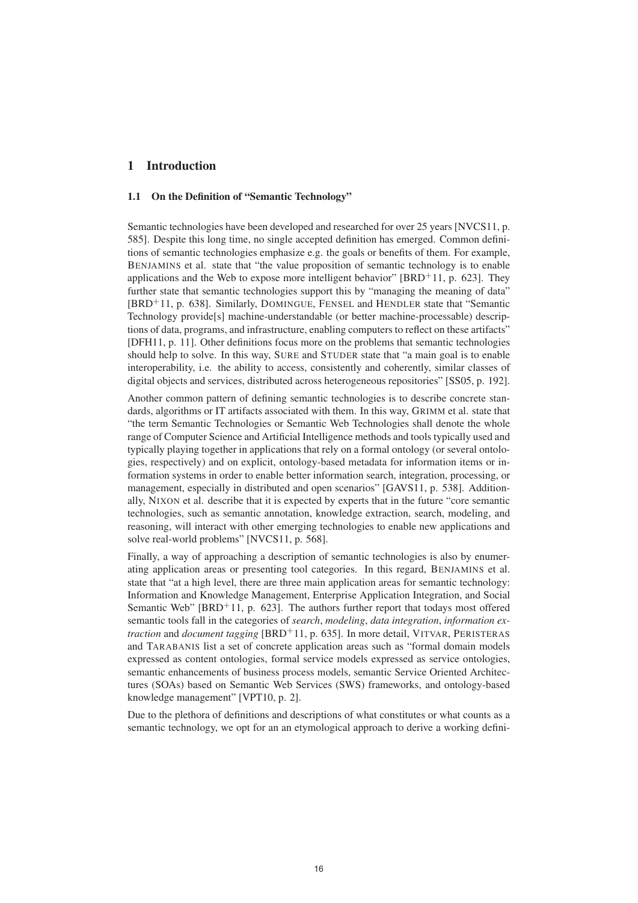## 1 Introduction

### 1.1 On the Definition of "Semantic Technology"

Semantic technologies have been developed and researched for over 25 years [NVCS11, p. 585]. Despite this long time, no single accepted definition has emerged. Common definitions of semantic technologies emphasize e.g. the goals or benefits of them. For example, BENJAMINS et al. state that "the value proposition of semantic technology is to enable applications and the Web to expose more intelligent behavior"  $[BRD<sup>+</sup>11$ , p. 623]. They further state that semantic technologies support this by "managing the meaning of data" [BRD<sup>+</sup>11, p. 638]. Similarly, DOMINGUE, FENSEL and HENDLER state that "Semantic Technology provide[s] machine-understandable (or better machine-processable) descriptions of data, programs, and infrastructure, enabling computers to reflect on these artifacts" [DFH11, p. 11]. Other definitions focus more on the problems that semantic technologies should help to solve. In this way, SURE and STUDER state that "a main goal is to enable interoperability, i.e. the ability to access, consistently and coherently, similar classes of digital objects and services, distributed across heterogeneous repositories" [SS05, p. 192].

Another common pattern of defining semantic technologies is to describe concrete standards, algorithms or IT artifacts associated with them. In this way, GRIMM et al. state that "the term Semantic Technologies or Semantic Web Technologies shall denote the whole range of Computer Science and Artificial Intelligence methods and tools typically used and typically playing together in applications that rely on a formal ontology (or several ontologies, respectively) and on explicit, ontology-based metadata for information items or information systems in order to enable better information search, integration, processing, or management, especially in distributed and open scenarios" [GAVS11, p. 538]. Additionally, NIXON et al. describe that it is expected by experts that in the future "core semantic technologies, such as semantic annotation, knowledge extraction, search, modeling, and reasoning, will interact with other emerging technologies to enable new applications and solve real-world problems" [NVCS11, p. 568].

Finally, a way of approaching a description of semantic technologies is also by enumerating application areas or presenting tool categories. In this regard, BENJAMINS et al. state that "at a high level, there are three main application areas for semantic technology: Information and Knowledge Management, Enterprise Application Integration, and Social Semantic Web"  $[BRD+11, p. 623]$ . The authors further report that todays most offered semantic tools fall in the categories of *search*, *modeling*, *data integration*, *information extraction* and *document tagging* [BRD<sup>+</sup>11, p. 635]. In more detail, VITVAR, PERISTERAS and TARABANIS list a set of concrete application areas such as "formal domain models expressed as content ontologies, formal service models expressed as service ontologies, semantic enhancements of business process models, semantic Service Oriented Architectures (SOAs) based on Semantic Web Services (SWS) frameworks, and ontology-based knowledge management" [VPT10, p. 2].

Due to the plethora of definitions and descriptions of what constitutes or what counts as a semantic technology, we opt for an an etymological approach to derive a working defini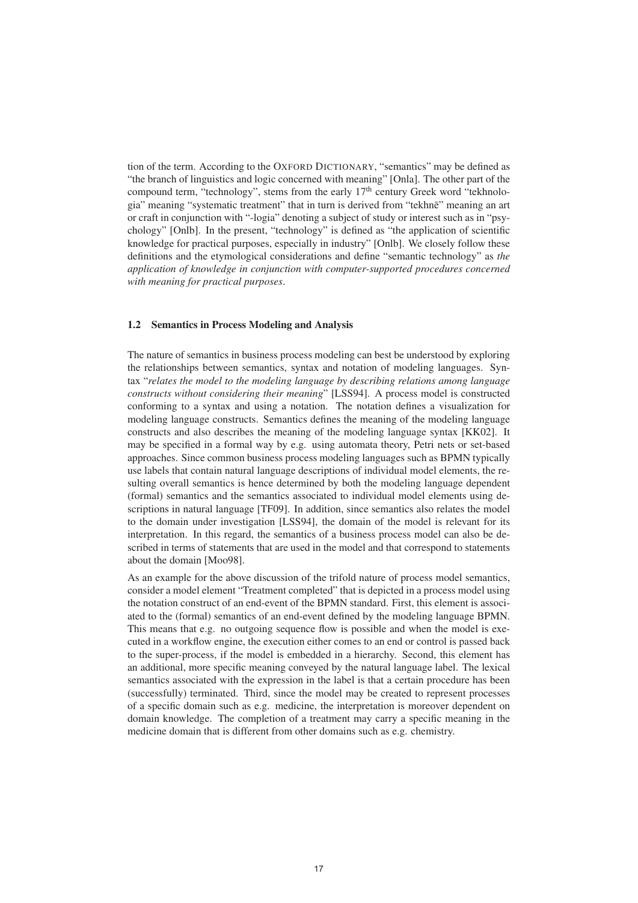tion of the term. According to the OXFORD DICTIONARY, "semantics" may be defined as "the branch of linguistics and logic concerned with meaning" [Onla]. The other part of the compound term, "technology", stems from the early  $17<sup>th</sup>$  century Greek word "tekhnologia" meaning "systematic treatment" that in turn is derived from "tekhne" meaning an art or craft in conjunction with "-logia" denoting a subject of study or interest such as in "psychology" [Onlb]. In the present, "technology" is defined as "the application of scientific knowledge for practical purposes, especially in industry" [Onlb]. We closely follow these definitions and the etymological considerations and define "semantic technology" as *the application of knowledge in conjunction with computer-supported procedures concerned with meaning for practical purposes*.

#### 1.2 Semantics in Process Modeling and Analysis

The nature of semantics in business process modeling can best be understood by exploring the relationships between semantics, syntax and notation of modeling languages. Syntax "*relates the model to the modeling language by describing relations among language constructs without considering their meaning*" [LSS94]. A process model is constructed conforming to a syntax and using a notation. The notation defines a visualization for modeling language constructs. Semantics defines the meaning of the modeling language constructs and also describes the meaning of the modeling language syntax [KK02]. It may be specified in a formal way by e.g. using automata theory, Petri nets or set-based approaches. Since common business process modeling languages such as BPMN typically use labels that contain natural language descriptions of individual model elements, the resulting overall semantics is hence determined by both the modeling language dependent (formal) semantics and the semantics associated to individual model elements using descriptions in natural language [TF09]. In addition, since semantics also relates the model to the domain under investigation [LSS94], the domain of the model is relevant for its interpretation. In this regard, the semantics of a business process model can also be described in terms of statements that are used in the model and that correspond to statements about the domain [Moo98].

As an example for the above discussion of the trifold nature of process model semantics, consider a model element "Treatment completed" that is depicted in a process model using the notation construct of an end-event of the BPMN standard. First, this element is associated to the (formal) semantics of an end-event defined by the modeling language BPMN. This means that e.g. no outgoing sequence flow is possible and when the model is executed in a workflow engine, the execution either comes to an end or control is passed back to the super-process, if the model is embedded in a hierarchy. Second, this element has an additional, more specific meaning conveyed by the natural language label. The lexical semantics associated with the expression in the label is that a certain procedure has been (successfully) terminated. Third, since the model may be created to represent processes of a specific domain such as e.g. medicine, the interpretation is moreover dependent on domain knowledge. The completion of a treatment may carry a specific meaning in the medicine domain that is different from other domains such as e.g. chemistry.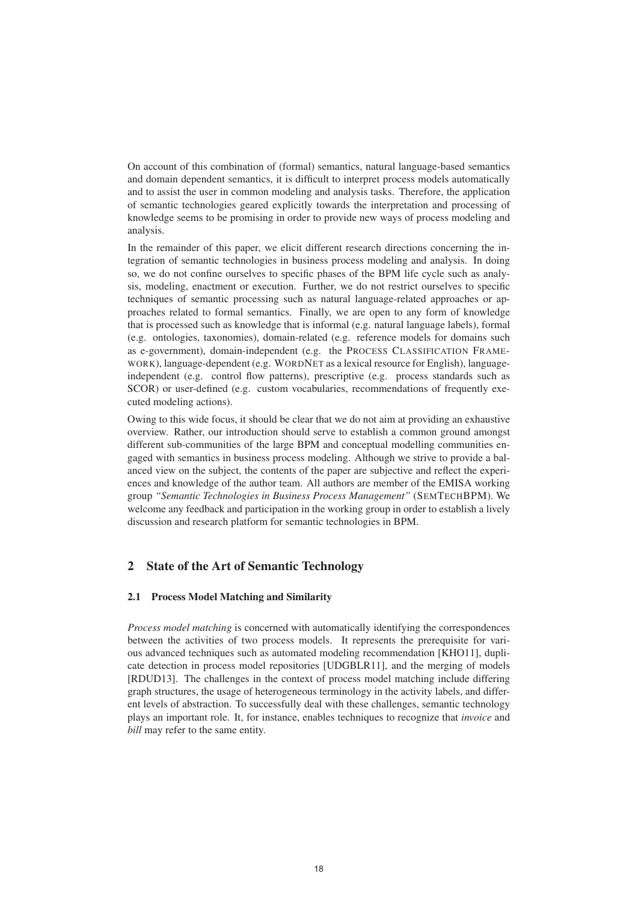On account of this combination of (formal) semantics, natural language-based semantics and domain dependent semantics, it is difficult to interpret process models automatically and to assist the user in common modeling and analysis tasks. Therefore, the application of semantic technologies geared explicitly towards the interpretation and processing of knowledge seems to be promising in order to provide new ways of process modeling and analysis.

In the remainder of this paper, we elicit different research directions concerning the integration of semantic technologies in business process modeling and analysis. In doing so, we do not confine ourselves to specific phases of the BPM life cycle such as analysis, modeling, enactment or execution. Further, we do not restrict ourselves to specific techniques of semantic processing such as natural language-related approaches or approaches related to formal semantics. Finally, we are open to any form of knowledge that is processed such as knowledge that is informal (e.g. natural language labels), formal (e.g. ontologies, taxonomies), domain-related (e.g. reference models for domains such as e-government), domain-independent (e.g. the PROCESS CLASSIFICATION FRAME-WORK), language-dependent (e.g. WORDNET as a lexical resource for English), languageindependent (e.g. control flow patterns), prescriptive (e.g. process standards such as SCOR) or user-defined (e.g. custom vocabularies, recommendations of frequently executed modeling actions).

Owing to this wide focus, it should be clear that we do not aim at providing an exhaustive overview. Rather, our introduction should serve to establish a common ground amongst different sub-communities of the large BPM and conceptual modelling communities engaged with semantics in business process modeling. Although we strive to provide a balanced view on the subject, the contents of the paper are subjective and reflect the experiences and knowledge of the author team. All authors are member of the EMISA working group *"Semantic Technologies in Business Process Management"* (SEMTECHBPM). We welcome any feedback and participation in the working group in order to establish a lively discussion and research platform for semantic technologies in BPM.

# 2 State of the Art of Semantic Technology

#### 2.1 Process Model Matching and Similarity

*Process model matching* is concerned with automatically identifying the correspondences between the activities of two process models. It represents the prerequisite for various advanced techniques such as automated modeling recommendation [KHO11], duplicate detection in process model repositories [UDGBLR11], and the merging of models [RDUD13]. The challenges in the context of process model matching include differing graph structures, the usage of heterogeneous terminology in the activity labels, and different levels of abstraction. To successfully deal with these challenges, semantic technology plays an important role. It, for instance, enables techniques to recognize that *invoice* and *bill* may refer to the same entity.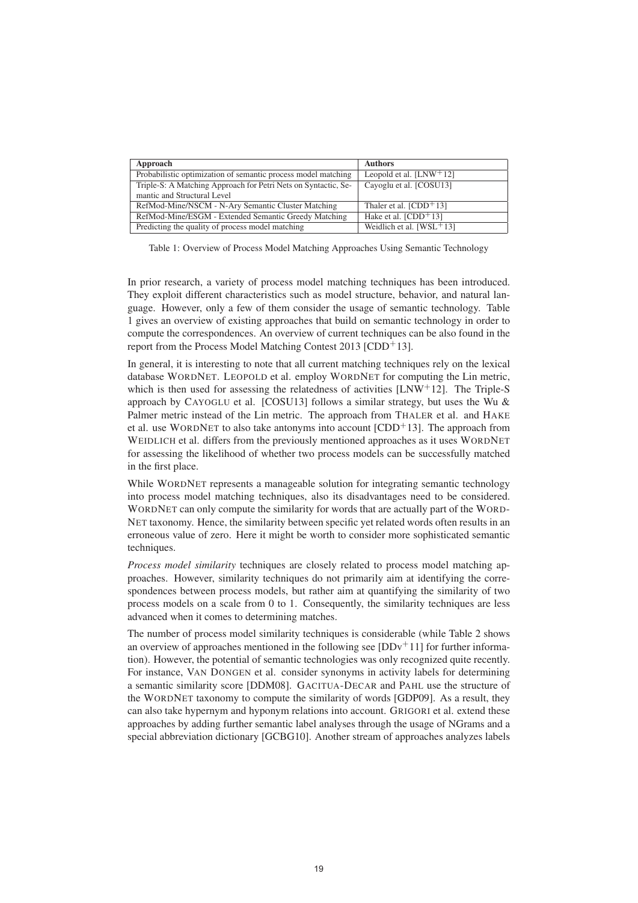| Approach                                                       | <b>Authors</b>              |
|----------------------------------------------------------------|-----------------------------|
| Probabilistic optimization of semantic process model matching  | Leopold et al. $[LNW^+12]$  |
| Triple-S: A Matching Approach for Petri Nets on Syntactic, Se- | Cayoglu et al. [COSU13]     |
| mantic and Structural Level                                    |                             |
| RefMod-Mine/NSCM - N-Ary Semantic Cluster Matching             | Thaler et al. $[CDD+13]$    |
| RefMod-Mine/ESGM - Extended Semantic Greedy Matching           | Hake et al. $[CDD+13]$      |
| Predicting the quality of process model matching               | Weidlich et al. $[WSL+ 13]$ |

Table 1: Overview of Process Model Matching Approaches Using Semantic Technology

In prior research, a variety of process model matching techniques has been introduced. They exploit different characteristics such as model structure, behavior, and natural language. However, only a few of them consider the usage of semantic technology. Table 1 gives an overview of existing approaches that build on semantic technology in order to compute the correspondences. An overview of current techniques can be also found in the report from the Process Model Matching Contest 2013 [CDD+13].

In general, it is interesting to note that all current matching techniques rely on the lexical database WORDNET. LEOPOLD et al. employ WORDNET for computing the Lin metric, which is then used for assessing the relatedness of activities [LNW+12]. The Triple-S approach by CAYOGLU et al. [COSU13] follows a similar strategy, but uses the Wu  $\&$ Palmer metric instead of the Lin metric. The approach from THALER et al. and HAKE et al. use WORDNET to also take antonyms into account  $[CDD<sup>+</sup>13]$ . The approach from WEIDLICH et al. differs from the previously mentioned approaches as it uses WORDNET for assessing the likelihood of whether two process models can be successfully matched in the first place.

While WORDNET represents a manageable solution for integrating semantic technology into process model matching techniques, also its disadvantages need to be considered. WORDNET can only compute the similarity for words that are actually part of the WORD-NET taxonomy. Hence, the similarity between specific yet related words often results in an erroneous value of zero. Here it might be worth to consider more sophisticated semantic techniques.

*Process model similarity* techniques are closely related to process model matching approaches. However, similarity techniques do not primarily aim at identifying the correspondences between process models, but rather aim at quantifying the similarity of two process models on a scale from 0 to 1. Consequently, the similarity techniques are less advanced when it comes to determining matches.

The number of process model similarity techniques is considerable (while Table 2 shows an overview of approaches mentioned in the following see  $[DDv<sup>+</sup>11]$  for further information). However, the potential of semantic technologies was only recognized quite recently. For instance, VAN DONGEN et al. consider synonyms in activity labels for determining a semantic similarity score [DDM08]. GACITUA-DECAR and PAHL use the structure of the WORDNET taxonomy to compute the similarity of words [GDP09]. As a result, they can also take hypernym and hyponym relations into account. GRIGORI et al. extend these approaches by adding further semantic label analyses through the usage of NGrams and a special abbreviation dictionary [GCBG10]. Another stream of approaches analyzes labels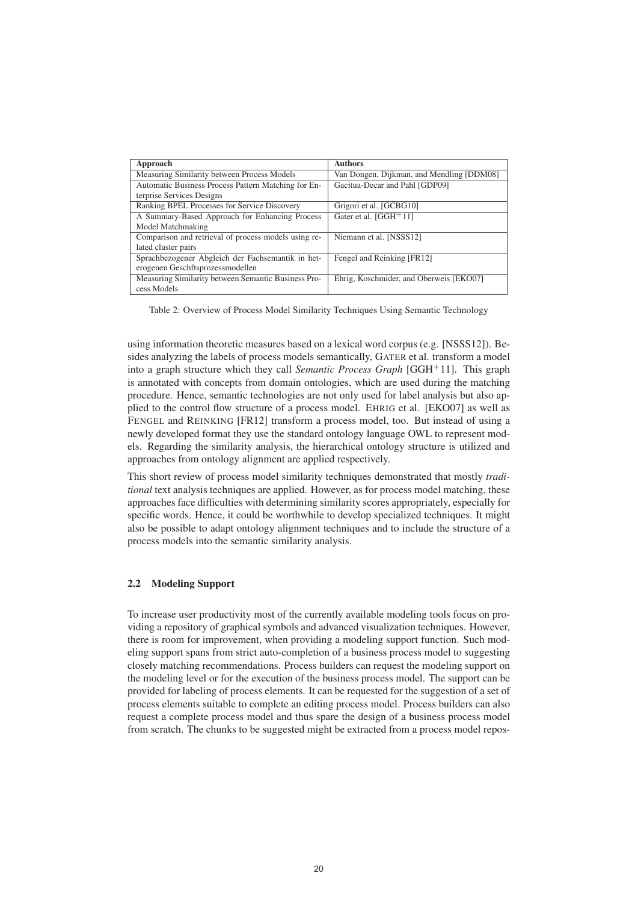| Approach                                             | <b>Authors</b>                            |
|------------------------------------------------------|-------------------------------------------|
| Measuring Similarity between Process Models          | Van Dongen, Dijkman, and Mendling [DDM08] |
| Automatic Business Process Pattern Matching for En-  | Gacitua-Decar and Pahl [GDP09]            |
| terprise Services Designs                            |                                           |
| Ranking BPEL Processes for Service Discovery         | Grigori et al. [GCBG10]                   |
| A Summary-Based Approach for Enhancing Process       | Gater et al. $[GGH+11]$                   |
| Model Matchmaking                                    |                                           |
| Comparison and retrieval of process models using re- | Niemann et al. [NSSS12]                   |
| lated cluster pairs                                  |                                           |
| Sprachbezogener Abgleich der Fachsemantik in het-    | Fengel and Reinking [FR12]                |
| erogenen Geschftsprozessmodellen                     |                                           |
| Measuring Similarity between Semantic Business Pro-  | Ehrig, Koschmider, and Oberweis [EKO07]   |
| cess Models                                          |                                           |

Table 2: Overview of Process Model Similarity Techniques Using Semantic Technology

using information theoretic measures based on a lexical word corpus (e.g. [NSSS12]). Besides analyzing the labels of process models semantically, GATER et al. transform a model into a graph structure which they call *Semantic Process Graph* [GGH<sup>+</sup>11]. This graph is annotated with concepts from domain ontologies, which are used during the matching procedure. Hence, semantic technologies are not only used for label analysis but also applied to the control flow structure of a process model. EHRIG et al. [EKO07] as well as FENGEL and REINKING [FR12] transform a process model, too. But instead of using a newly developed format they use the standard ontology language OWL to represent models. Regarding the similarity analysis, the hierarchical ontology structure is utilized and approaches from ontology alignment are applied respectively.

This short review of process model similarity techniques demonstrated that mostly *traditional* text analysis techniques are applied. However, as for process model matching, these approaches face difficulties with determining similarity scores appropriately, especially for specific words. Hence, it could be worthwhile to develop specialized techniques. It might also be possible to adapt ontology alignment techniques and to include the structure of a process models into the semantic similarity analysis.

## 2.2 Modeling Support

To increase user productivity most of the currently available modeling tools focus on providing a repository of graphical symbols and advanced visualization techniques. However, there is room for improvement, when providing a modeling support function. Such modeling support spans from strict auto-completion of a business process model to suggesting closely matching recommendations. Process builders can request the modeling support on the modeling level or for the execution of the business process model. The support can be provided for labeling of process elements. It can be requested for the suggestion of a set of process elements suitable to complete an editing process model. Process builders can also request a complete process model and thus spare the design of a business process model from scratch. The chunks to be suggested might be extracted from a process model repos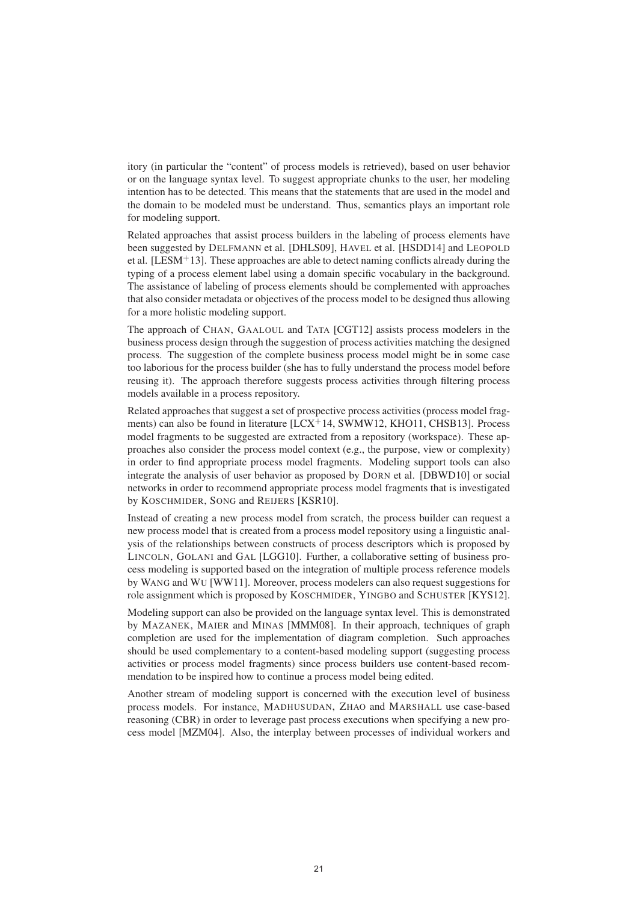itory (in particular the "content" of process models is retrieved), based on user behavior or on the language syntax level. To suggest appropriate chunks to the user, her modeling intention has to be detected. This means that the statements that are used in the model and the domain to be modeled must be understand. Thus, semantics plays an important role for modeling support.

Related approaches that assist process builders in the labeling of process elements have been suggested by DELFMANN et al. [DHLS09], HAVEL et al. [HSDD14] and LEOPOLD et al. [LESM<sup>+</sup>13]. These approaches are able to detect naming conflicts already during the typing of a process element label using a domain specific vocabulary in the background. The assistance of labeling of process elements should be complemented with approaches that also consider metadata or objectives of the process model to be designed thus allowing for a more holistic modeling support.

The approach of CHAN, GAALOUL and TATA [CGT12] assists process modelers in the business process design through the suggestion of process activities matching the designed process. The suggestion of the complete business process model might be in some case too laborious for the process builder (she has to fully understand the process model before reusing it). The approach therefore suggests process activities through filtering process models available in a process repository.

Related approaches that suggest a set of prospective process activities (process model fragments) can also be found in literature  $[LCX<sup>+</sup>14$ , SWMW12, KHO11, CHSB13]. Process model fragments to be suggested are extracted from a repository (workspace). These approaches also consider the process model context (e.g., the purpose, view or complexity) in order to find appropriate process model fragments. Modeling support tools can also integrate the analysis of user behavior as proposed by DORN et al. [DBWD10] or social networks in order to recommend appropriate process model fragments that is investigated by KOSCHMIDER, SONG and REIJERS [KSR10].

Instead of creating a new process model from scratch, the process builder can request a new process model that is created from a process model repository using a linguistic analysis of the relationships between constructs of process descriptors which is proposed by LINCOLN, GOLANI and GAL [LGG10]. Further, a collaborative setting of business process modeling is supported based on the integration of multiple process reference models by WANG and WU [WW11]. Moreover, process modelers can also request suggestions for role assignment which is proposed by KOSCHMIDER, YINGBO and SCHUSTER [KYS12].

Modeling support can also be provided on the language syntax level. This is demonstrated by MAZANEK, MAIER and MINAS [MMM08]. In their approach, techniques of graph completion are used for the implementation of diagram completion. Such approaches should be used complementary to a content-based modeling support (suggesting process activities or process model fragments) since process builders use content-based recommendation to be inspired how to continue a process model being edited.

Another stream of modeling support is concerned with the execution level of business process models. For instance, MADHUSUDAN, ZHAO and MARSHALL use case-based reasoning (CBR) in order to leverage past process executions when specifying a new process model [MZM04]. Also, the interplay between processes of individual workers and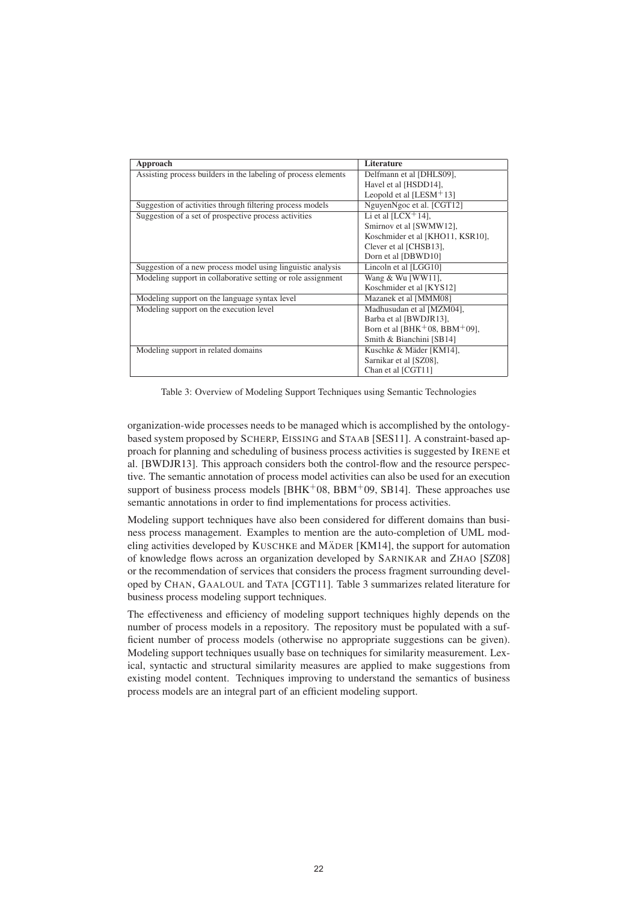| Approach                                                       | <b>Literature</b>                                      |
|----------------------------------------------------------------|--------------------------------------------------------|
| Assisting process builders in the labeling of process elements | Delfmann et al [DHLS09],                               |
|                                                                | Havel et al [HSDD14],                                  |
|                                                                | Leopold et al [LESM $+$ 13]                            |
| Suggestion of activities through filtering process models      | NguyenNgoc et al. [CGT12]                              |
| Suggestion of a set of prospective process activities          | Li et al $[LCX^+14]$ ,                                 |
|                                                                | Smirnov et al [SWMW12],                                |
|                                                                | Koschmider et al [KHO11, KSR10],                       |
|                                                                | Clever et al [CHSB13],                                 |
|                                                                | Dorn et al [DBWD10]                                    |
| Suggestion of a new process model using linguistic analysis    | Lincoln et al [LGG10]                                  |
| Modeling support in collaborative setting or role assignment   | Wang & Wu [WW11],                                      |
|                                                                | Koschmider et al [KYS12]                               |
| Modeling support on the language syntax level                  | Mazanek et al [MMM08]                                  |
| Modeling support on the execution level                        | Madhusudan et al [MZM04],                              |
|                                                                | Barba et al [BWDJR13],                                 |
|                                                                | Born et al [BHK <sup>+</sup> 08, BBM <sup>+</sup> 09], |
|                                                                | Smith & Bianchini [SB14]                               |
| Modeling support in related domains                            | Kuschke & Mäder [KM14],                                |
|                                                                | Sarnikar et al [SZ08],                                 |
|                                                                | Chan et al [CGT11]                                     |

Table 3: Overview of Modeling Support Techniques using Semantic Technologies

organization-wide processes needs to be managed which is accomplished by the ontologybased system proposed by SCHERP, EISSING and STAAB [SES11]. A constraint-based approach for planning and scheduling of business process activities is suggested by IRENE et al. [BWDJR13]. This approach considers both the control-flow and the resource perspective. The semantic annotation of process model activities can also be used for an execution support of business process models  $(BHK<sup>+</sup>08, BBM<sup>+</sup>09, SB14$ . These approaches use semantic annotations in order to find implementations for process activities.

Modeling support techniques have also been considered for different domains than business process management. Examples to mention are the auto-completion of UML modeling activities developed by KUSCHKE and MÄDER [KM14], the support for automation of knowledge flows across an organization developed by SARNIKAR and ZHAO [SZ08] or the recommendation of services that considers the process fragment surrounding developed by CHAN, GAALOUL and TATA [CGT11]. Table 3 summarizes related literature for business process modeling support techniques.

The effectiveness and efficiency of modeling support techniques highly depends on the number of process models in a repository. The repository must be populated with a sufficient number of process models (otherwise no appropriate suggestions can be given). Modeling support techniques usually base on techniques for similarity measurement. Lexical, syntactic and structural similarity measures are applied to make suggestions from existing model content. Techniques improving to understand the semantics of business process models are an integral part of an efficient modeling support.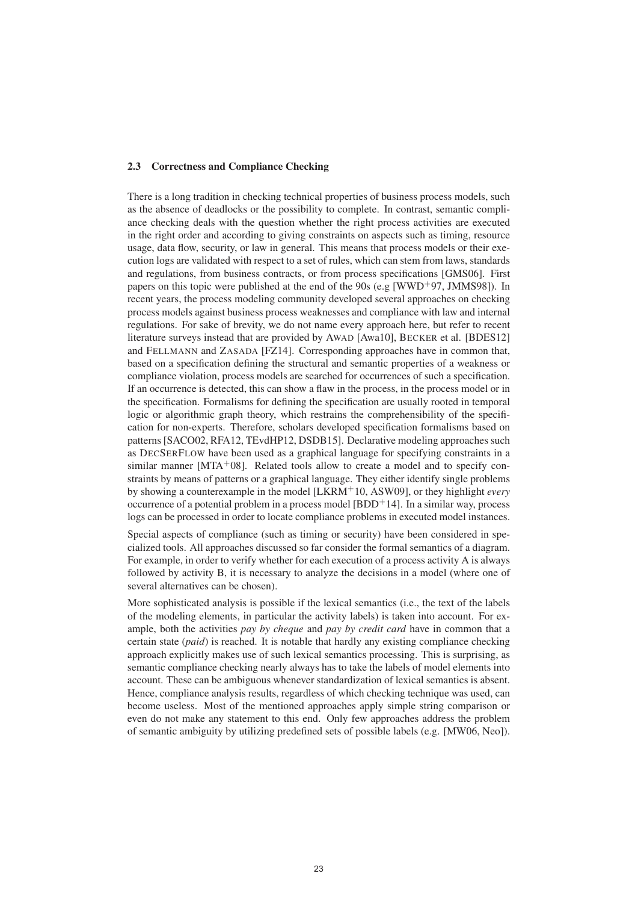#### 2.3 Correctness and Compliance Checking

There is a long tradition in checking technical properties of business process models, such as the absence of deadlocks or the possibility to complete. In contrast, semantic compliance checking deals with the question whether the right process activities are executed in the right order and according to giving constraints on aspects such as timing, resource usage, data flow, security, or law in general. This means that process models or their execution logs are validated with respect to a set of rules, which can stem from laws, standards and regulations, from business contracts, or from process specifications [GMS06]. First papers on this topic were published at the end of the 90s (e.g [WWD+97, JMMS98]). In recent years, the process modeling community developed several approaches on checking process models against business process weaknesses and compliance with law and internal regulations. For sake of brevity, we do not name every approach here, but refer to recent literature surveys instead that are provided by AWAD [Awa10], BECKER et al. [BDES12] and FELLMANN and ZASADA [FZ14]. Corresponding approaches have in common that, based on a specification defining the structural and semantic properties of a weakness or compliance violation, process models are searched for occurrences of such a specification. If an occurrence is detected, this can show a flaw in the process, in the process model or in the specification. Formalisms for defining the specification are usually rooted in temporal logic or algorithmic graph theory, which restrains the comprehensibility of the specification for non-experts. Therefore, scholars developed specification formalisms based on patterns [SACO02, RFA12, TEvdHP12, DSDB15]. Declarative modeling approaches such as DECSERFLOW have been used as a graphical language for specifying constraints in a similar manner [MTA+08]. Related tools allow to create a model and to specify constraints by means of patterns or a graphical language. They either identify single problems by showing a counterexample in the model [LKRM<sup>+</sup>10, ASW09], or they highlight *every* occurrence of a potential problem in a process model  $[BDD+14]$ . In a similar way, process logs can be processed in order to locate compliance problems in executed model instances.

Special aspects of compliance (such as timing or security) have been considered in specialized tools. All approaches discussed so far consider the formal semantics of a diagram. For example, in order to verify whether for each execution of a process activity A is always followed by activity B, it is necessary to analyze the decisions in a model (where one of several alternatives can be chosen).

More sophisticated analysis is possible if the lexical semantics (i.e., the text of the labels of the modeling elements, in particular the activity labels) is taken into account. For example, both the activities *pay by cheque* and *pay by credit card* have in common that a certain state (*paid*) is reached. It is notable that hardly any existing compliance checking approach explicitly makes use of such lexical semantics processing. This is surprising, as semantic compliance checking nearly always has to take the labels of model elements into account. These can be ambiguous whenever standardization of lexical semantics is absent. Hence, compliance analysis results, regardless of which checking technique was used, can become useless. Most of the mentioned approaches apply simple string comparison or even do not make any statement to this end. Only few approaches address the problem of semantic ambiguity by utilizing predefined sets of possible labels (e.g. [MW06, Neo]).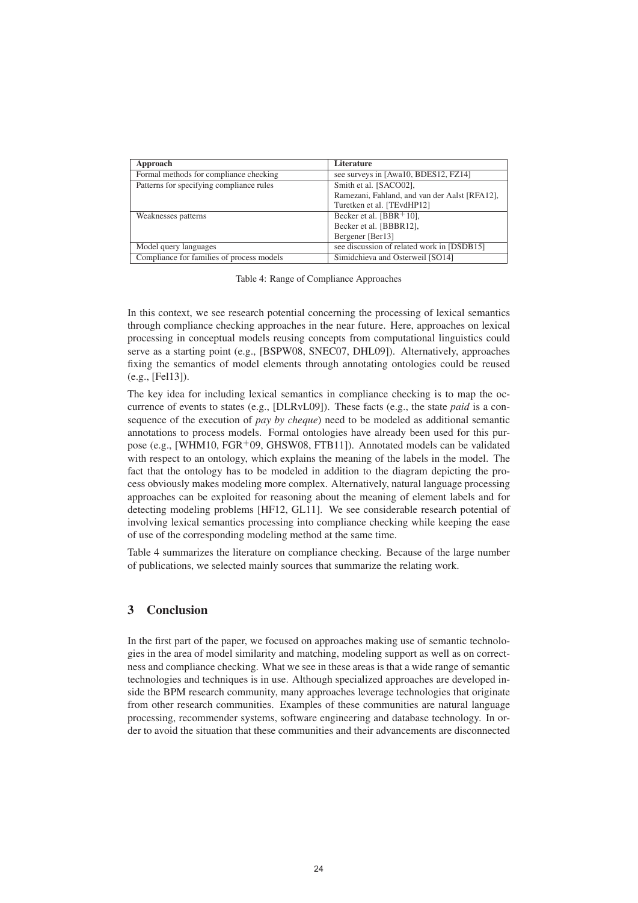| Approach                                  | Literature                                    |
|-------------------------------------------|-----------------------------------------------|
| Formal methods for compliance checking    | see surveys in [Awa10, BDES12, FZ14]          |
| Patterns for specifying compliance rules  | Smith et al. [SACO02],                        |
|                                           | Ramezani, Fahland, and van der Aalst [RFA12], |
|                                           | Turetken et al. [TEvdHP12]                    |
| Weaknesses patterns                       | Becker et al. $[BBR+10]$ ,                    |
|                                           | Becker et al. [BBBR12],                       |
|                                           | Bergener [Ber13]                              |
| Model query languages                     | see discussion of related work in [DSDB15]    |
| Compliance for families of process models | Simidchieva and Osterweil [SO14]              |

Table 4: Range of Compliance Approaches

In this context, we see research potential concerning the processing of lexical semantics through compliance checking approaches in the near future. Here, approaches on lexical processing in conceptual models reusing concepts from computational linguistics could serve as a starting point (e.g., [BSPW08, SNEC07, DHL09]). Alternatively, approaches fixing the semantics of model elements through annotating ontologies could be reused (e.g., [Fel13]).

The key idea for including lexical semantics in compliance checking is to map the occurrence of events to states (e.g., [DLRvL09]). These facts (e.g., the state *paid* is a consequence of the execution of *pay by cheque*) need to be modeled as additional semantic annotations to process models. Formal ontologies have already been used for this purpose (e.g., [WHM10, FGR+09, GHSW08, FTB11]). Annotated models can be validated with respect to an ontology, which explains the meaning of the labels in the model. The fact that the ontology has to be modeled in addition to the diagram depicting the process obviously makes modeling more complex. Alternatively, natural language processing approaches can be exploited for reasoning about the meaning of element labels and for detecting modeling problems [HF12, GL11]. We see considerable research potential of involving lexical semantics processing into compliance checking while keeping the ease of use of the corresponding modeling method at the same time.

Table 4 summarizes the literature on compliance checking. Because of the large number of publications, we selected mainly sources that summarize the relating work.

# 3 Conclusion

In the first part of the paper, we focused on approaches making use of semantic technologies in the area of model similarity and matching, modeling support as well as on correctness and compliance checking. What we see in these areas is that a wide range of semantic technologies and techniques is in use. Although specialized approaches are developed inside the BPM research community, many approaches leverage technologies that originate from other research communities. Examples of these communities are natural language processing, recommender systems, software engineering and database technology. In order to avoid the situation that these communities and their advancements are disconnected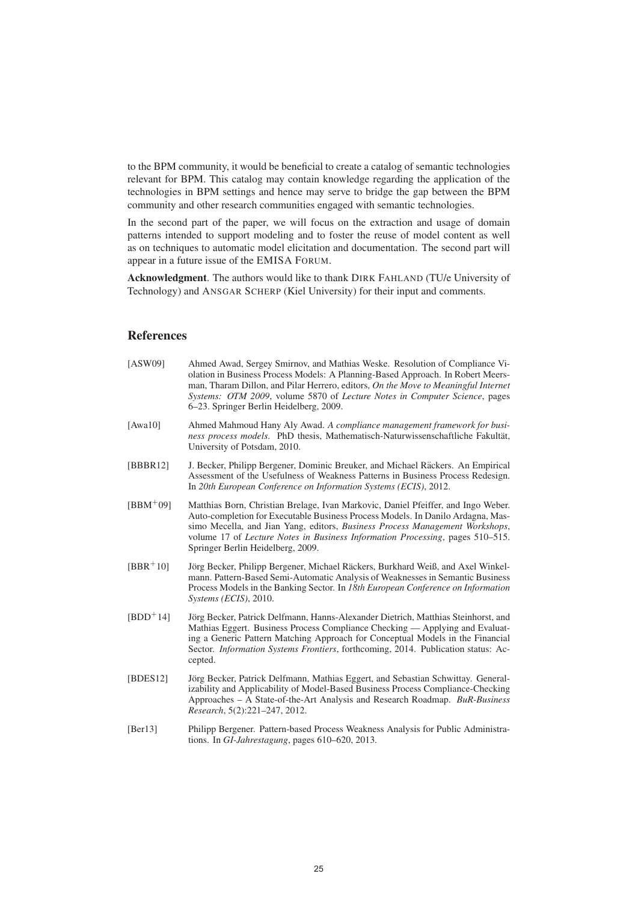to the BPM community, it would be beneficial to create a catalog of semantic technologies relevant for BPM. This catalog may contain knowledge regarding the application of the technologies in BPM settings and hence may serve to bridge the gap between the BPM community and other research communities engaged with semantic technologies.

In the second part of the paper, we will focus on the extraction and usage of domain patterns intended to support modeling and to foster the reuse of model content as well as on techniques to automatic model elicitation and documentation. The second part will appear in a future issue of the EMISA FORUM.

Acknowledgment. The authors would like to thank DIRK FAHLAND (TU/e University of Technology) and ANSGAR SCHERP (Kiel University) for their input and comments.

## References

| [ASW09] | Ahmed Awad, Sergey Smirnov, and Mathias Weske. Resolution of Compliance Vi-        |
|---------|------------------------------------------------------------------------------------|
|         | olation in Business Process Models: A Planning-Based Approach. In Robert Meers-    |
|         | man, Tharam Dillon, and Pilar Herrero, editors, On the Move to Meaningful Internet |
|         | <i>Systems: OTM 2009, volume 5870 of Lecture Notes in Computer Science, pages</i>  |
|         | 6–23. Springer Berlin Heidelberg, 2009.                                            |
|         |                                                                                    |

- [Awa10] Ahmed Mahmoud Hany Aly Awad. *A compliance management framework for business process models*. PhD thesis, Mathematisch-Naturwissenschaftliche Fakultät, University of Potsdam, 2010.
- [BBBR12] J. Becker, Philipp Bergener, Dominic Breuker, and Michael Räckers. An Empirical Assessment of the Usefulness of Weakness Patterns in Business Process Redesign. In *20th European Conference on Information Systems (ECIS)*, 2012.
- [BBM<sup>+</sup>09] Matthias Born, Christian Brelage, Ivan Markovic, Daniel Pfeiffer, and Ingo Weber. Auto-completion for Executable Business Process Models. In Danilo Ardagna, Massimo Mecella, and Jian Yang, editors, *Business Process Management Workshops*, volume 17 of *Lecture Notes in Business Information Processing*, pages 510–515. Springer Berlin Heidelberg, 2009.
- $[BBR<sup>+</sup>10]$  Jörg Becker, Philipp Bergener, Michael Räckers, Burkhard Weiß, and Axel Winkelmann. Pattern-Based Semi-Automatic Analysis of Weaknesses in Semantic Business Process Models in the Banking Sector. In *18th European Conference on Information Systems (ECIS)*, 2010.
- [BDD<sup>+</sup>14] Jörg Becker, Patrick Delfmann, Hanns-Alexander Dietrich, Matthias Steinhorst, and Mathias Eggert. Business Process Compliance Checking — Applying and Evaluating a Generic Pattern Matching Approach for Conceptual Models in the Financial Sector. *Information Systems Frontiers*, forthcoming, 2014. Publication status: Accepted.
- [BDES12] Jörg Becker, Patrick Delfmann, Mathias Eggert, and Sebastian Schwittay. Generalizability and Applicability of Model-Based Business Process Compliance-Checking Approaches – A State-of-the-Art Analysis and Research Roadmap. *BuR-Business Research*, 5(2):221–247, 2012.
- [Ber13] Philipp Bergener. Pattern-based Process Weakness Analysis for Public Administrations. In *GI-Jahrestagung*, pages 610–620, 2013.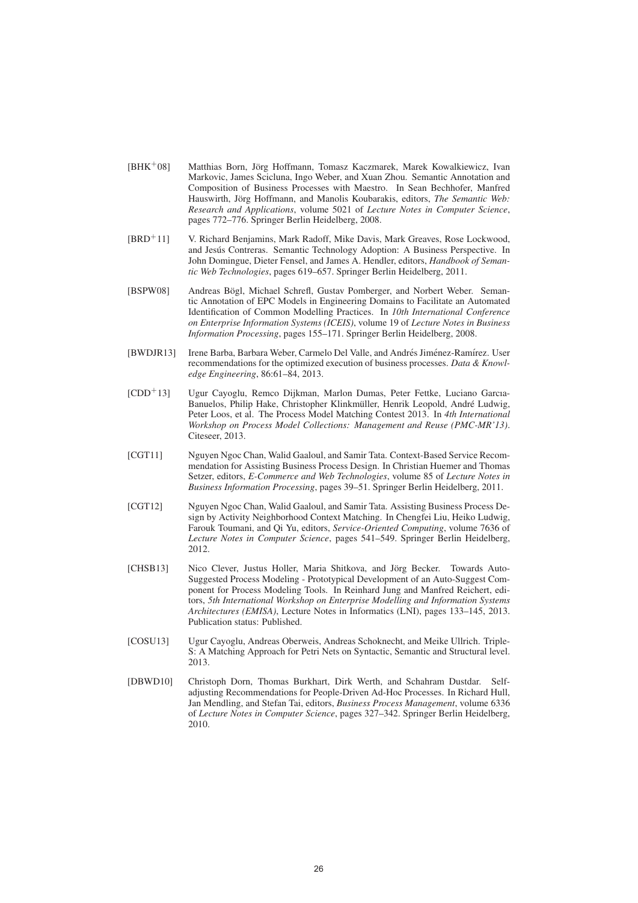- [BHK<sup>+</sup>08] Matthias Born, Jörg Hoffmann, Tomasz Kaczmarek, Marek Kowalkiewicz, Ivan Markovic, James Scicluna, Ingo Weber, and Xuan Zhou. Semantic Annotation and Composition of Business Processes with Maestro. In Sean Bechhofer, Manfred Hauswirth, Jörg Hoffmann, and Manolis Koubarakis, editors, *The Semantic Web: Research and Applications*, volume 5021 of *Lecture Notes in Computer Science*, pages 772–776. Springer Berlin Heidelberg, 2008.
- [BRD<sup>+</sup>11] V. Richard Benjamins, Mark Radoff, Mike Davis, Mark Greaves, Rose Lockwood, and Jesús Contreras. Semantic Technology Adoption: A Business Perspective. In John Domingue, Dieter Fensel, and James A. Hendler, editors, *Handbook of Semantic Web Technologies*, pages 619–657. Springer Berlin Heidelberg, 2011.
- [BSPW08] Andreas Bögl, Michael Schrefl, Gustav Pomberger, and Norbert Weber. Semantic Annotation of EPC Models in Engineering Domains to Facilitate an Automated Identification of Common Modelling Practices. In *10th International Conference on Enterprise Information Systems (ICEIS)*, volume 19 of *Lecture Notes in Business Information Processing*, pages 155–171. Springer Berlin Heidelberg, 2008.
- [BWDJR13] Irene Barba, Barbara Weber, Carmelo Del Valle, and Andrés Jiménez-Ramírez. User recommendations for the optimized execution of business processes. *Data & Knowledge Engineering*, 86:61–84, 2013.
- [CDD<sup>+</sup>13] Ugur Cayoglu, Remco Dijkman, Marlon Dumas, Peter Fettke, Luciano Garcıa-Banuelos, Philip Hake, Christopher Klinkmüller, Henrik Leopold, André Ludwig, Peter Loos, et al. The Process Model Matching Contest 2013. In *4th International Workshop on Process Model Collections: Management and Reuse (PMC-MR'13)*. Citeseer, 2013.
- [CGT11] Nguyen Ngoc Chan, Walid Gaaloul, and Samir Tata. Context-Based Service Recommendation for Assisting Business Process Design. In Christian Huemer and Thomas Setzer, editors, *E-Commerce and Web Technologies*, volume 85 of *Lecture Notes in Business Information Processing*, pages 39–51. Springer Berlin Heidelberg, 2011.
- [CGT12] Nguyen Ngoc Chan, Walid Gaaloul, and Samir Tata. Assisting Business Process Design by Activity Neighborhood Context Matching. In Chengfei Liu, Heiko Ludwig, Farouk Toumani, and Qi Yu, editors, *Service-Oriented Computing*, volume 7636 of *Lecture Notes in Computer Science*, pages 541–549. Springer Berlin Heidelberg, 2012.
- [CHSB13] Nico Clever, Justus Holler, Maria Shitkova, and Jörg Becker. Towards Auto-Suggested Process Modeling - Prototypical Development of an Auto-Suggest Component for Process Modeling Tools. In Reinhard Jung and Manfred Reichert, editors, *5th International Workshop on Enterprise Modelling and Information Systems Architectures (EMISA)*, Lecture Notes in Informatics (LNI), pages 133–145, 2013. Publication status: Published.
- [COSU13] Ugur Cayoglu, Andreas Oberweis, Andreas Schoknecht, and Meike Ullrich. Triple-S: A Matching Approach for Petri Nets on Syntactic, Semantic and Structural level. 2013.
- [DBWD10] Christoph Dorn, Thomas Burkhart, Dirk Werth, and Schahram Dustdar. Selfadjusting Recommendations for People-Driven Ad-Hoc Processes. In Richard Hull, Jan Mendling, and Stefan Tai, editors, *Business Process Management*, volume 6336 of *Lecture Notes in Computer Science*, pages 327–342. Springer Berlin Heidelberg, 2010.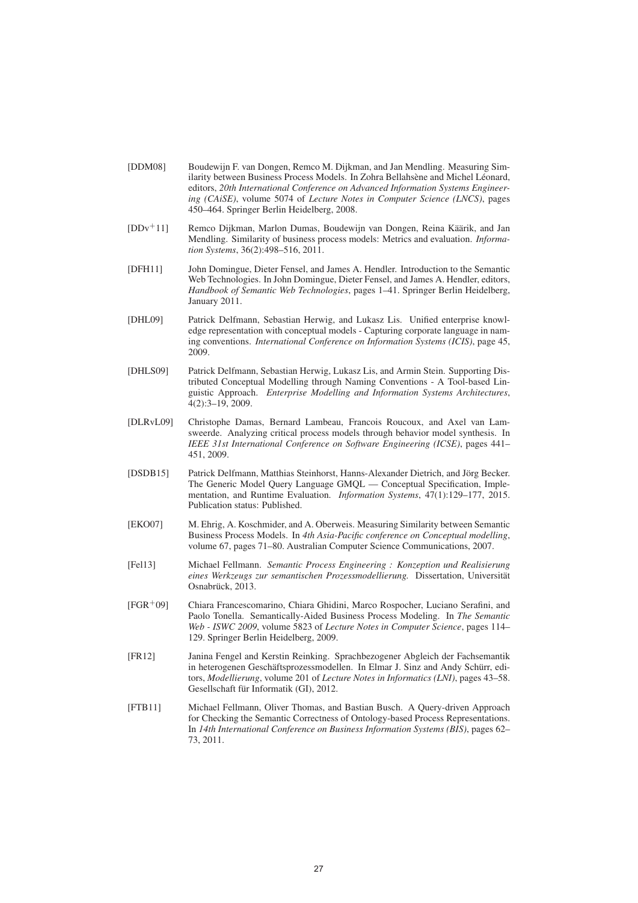- [DDM08] Boudewijn F. van Dongen, Remco M. Dijkman, and Jan Mendling. Measuring Similarity between Business Process Models. In Zohra Bellahsène and Michel Léonard, editors, *20th International Conference on Advanced Information Systems Engineering (CAiSE)*, volume 5074 of *Lecture Notes in Computer Science (LNCS)*, pages 450–464. Springer Berlin Heidelberg, 2008.
- [DDv<sup>+</sup>11] Remco Dijkman, Marlon Dumas, Boudewijn van Dongen, Reina Käärik, and Jan Mendling. Similarity of business process models: Metrics and evaluation. *Information Systems*, 36(2):498–516, 2011.
- [DFH11] John Domingue, Dieter Fensel, and James A. Hendler. Introduction to the Semantic Web Technologies. In John Domingue, Dieter Fensel, and James A. Hendler, editors, *Handbook of Semantic Web Technologies*, pages 1–41. Springer Berlin Heidelberg, January 2011.
- [DHL09] Patrick Delfmann, Sebastian Herwig, and Lukasz Lis. Unified enterprise knowledge representation with conceptual models - Capturing corporate language in naming conventions. *International Conference on Information Systems (ICIS)*, page 45, 2009.
- [DHLS09] Patrick Delfmann, Sebastian Herwig, Lukasz Lis, and Armin Stein. Supporting Distributed Conceptual Modelling through Naming Conventions - A Tool-based Linguistic Approach. *Enterprise Modelling and Information Systems Architectures*,  $4(2):3-19,2009.$
- [DLRvL09] Christophe Damas, Bernard Lambeau, Francois Roucoux, and Axel van Lamsweerde. Analyzing critical process models through behavior model synthesis. In *IEEE 31st International Conference on Software Engineering (ICSE)*, pages 441– 451, 2009.
- [DSDB15] Patrick Delfmann, Matthias Steinhorst, Hanns-Alexander Dietrich, and Jörg Becker. The Generic Model Query Language GMQL — Conceptual Specification, Implementation, and Runtime Evaluation. *Information Systems*, 47(1):129–177, 2015. Publication status: Published.
- [EKO07] M. Ehrig, A. Koschmider, and A. Oberweis. Measuring Similarity between Semantic Business Process Models. In *4th Asia-Pacific conference on Conceptual modelling*, volume 67, pages 71–80. Australian Computer Science Communications, 2007.
- [Fel13] Michael Fellmann. *Semantic Process Engineering : Konzeption und Realisierung eines Werkzeugs zur semantischen Prozessmodellierung.* Dissertation, Universitat¨ Osnabrück, 2013.
- [FGR<sup>+</sup>09] Chiara Francescomarino, Chiara Ghidini, Marco Rospocher, Luciano Serafini, and Paolo Tonella. Semantically-Aided Business Process Modeling. In *The Semantic Web - ISWC 2009*, volume 5823 of *Lecture Notes in Computer Science*, pages 114– 129. Springer Berlin Heidelberg, 2009.
- [FR12] Janina Fengel and Kerstin Reinking. Sprachbezogener Abgleich der Fachsemantik in heterogenen Geschäftsprozessmodellen. In Elmar J. Sinz and Andy Schürr, editors, *Modellierung*, volume 201 of *Lecture Notes in Informatics (LNI)*, pages 43–58. Gesellschaft für Informatik (GI), 2012.
- [FTB11] Michael Fellmann, Oliver Thomas, and Bastian Busch. A Query-driven Approach for Checking the Semantic Correctness of Ontology-based Process Representations. In *14th International Conference on Business Information Systems (BIS)*, pages 62– 73, 2011.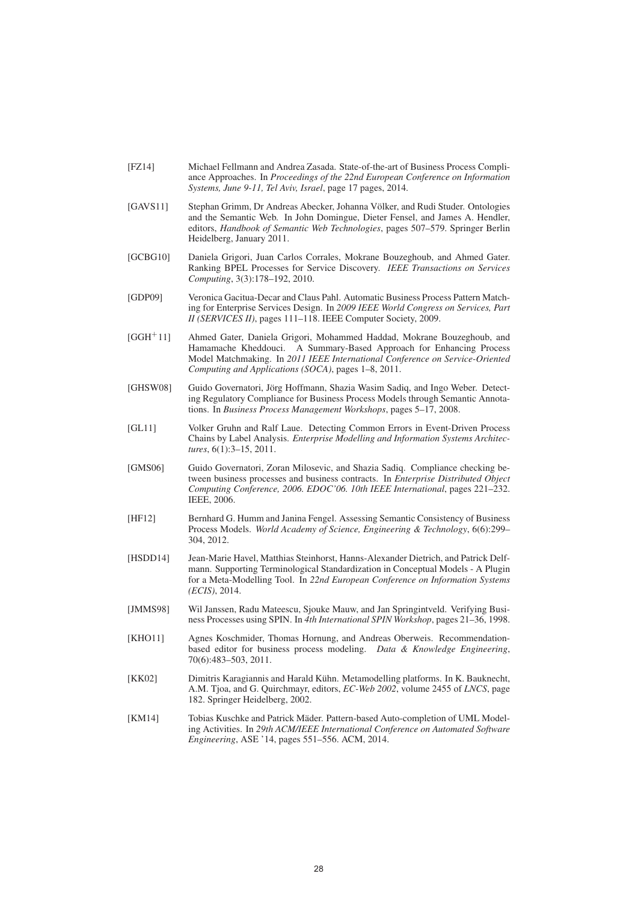- [FZ14] Michael Fellmann and Andrea Zasada. State-of-the-art of Business Process Compliance Approaches. In *Proceedings of the 22nd European Conference on Information Systems, June 9-11, Tel Aviv, Israel*, page 17 pages, 2014.
- [GAVS11] Stephan Grimm, Dr Andreas Abecker, Johanna Völker, and Rudi Studer. Ontologies and the Semantic Web. In John Domingue, Dieter Fensel, and James A. Hendler, editors, *Handbook of Semantic Web Technologies*, pages 507–579. Springer Berlin Heidelberg, January 2011.
- [GCBG10] Daniela Grigori, Juan Carlos Corrales, Mokrane Bouzeghoub, and Ahmed Gater. Ranking BPEL Processes for Service Discovery. *IEEE Transactions on Services Computing*, 3(3):178–192, 2010.
- [GDP09] Veronica Gacitua-Decar and Claus Pahl. Automatic Business Process Pattern Matching for Enterprise Services Design. In *2009 IEEE World Congress on Services, Part II (SERVICES II)*, pages 111–118. IEEE Computer Society, 2009.
- [GGH<sup>+</sup>11] Ahmed Gater, Daniela Grigori, Mohammed Haddad, Mokrane Bouzeghoub, and Hamamache Kheddouci. A Summary-Based Approach for Enhancing Process Model Matchmaking. In *2011 IEEE International Conference on Service-Oriented Computing and Applications (SOCA)*, pages 1–8, 2011.
- [GHSW08] Guido Governatori, Jörg Hoffmann, Shazia Wasim Sadiq, and Ingo Weber. Detecting Regulatory Compliance for Business Process Models through Semantic Annotations. In *Business Process Management Workshops*, pages 5–17, 2008.
- [GL11] Volker Gruhn and Ralf Laue. Detecting Common Errors in Event-Driven Process Chains by Label Analysis. *Enterprise Modelling and Information Systems Architectures*, 6(1):3–15, 2011.
- [GMS06] Guido Governatori, Zoran Milosevic, and Shazia Sadiq. Compliance checking between business processes and business contracts. In *Enterprise Distributed Object Computing Conference, 2006. EDOC'06. 10th IEEE International*, pages 221–232. IEEE, 2006.
- [HF12] Bernhard G. Humm and Janina Fengel. Assessing Semantic Consistency of Business Process Models. *World Academy of Science, Engineering & Technology*, 6(6):299– 304, 2012.
- [HSDD14] Jean-Marie Havel, Matthias Steinhorst, Hanns-Alexander Dietrich, and Patrick Delfmann. Supporting Terminological Standardization in Conceptual Models - A Plugin for a Meta-Modelling Tool. In *22nd European Conference on Information Systems (ECIS)*, 2014.
- [JMMS98] Wil Janssen, Radu Mateescu, Sjouke Mauw, and Jan Springintveld. Verifying Business Processes using SPIN. In *4th International SPIN Workshop*, pages 21–36, 1998.
- [KHO11] Agnes Koschmider, Thomas Hornung, and Andreas Oberweis. Recommendationbased editor for business process modeling. *Data & Knowledge Engineering*, 70(6):483–503, 2011.
- [KK02] Dimitris Karagiannis and Harald Kühn. Metamodelling platforms. In K. Bauknecht, A.M. Tjoa, and G. Quirchmayr, editors, *EC-Web 2002*, volume 2455 of *LNCS*, page 182. Springer Heidelberg, 2002.
- [KM14] Tobias Kuschke and Patrick Mäder. Pattern-based Auto-completion of UML Modeling Activities. In *29th ACM/IEEE International Conference on Automated Software Engineering*, ASE '14, pages 551–556. ACM, 2014.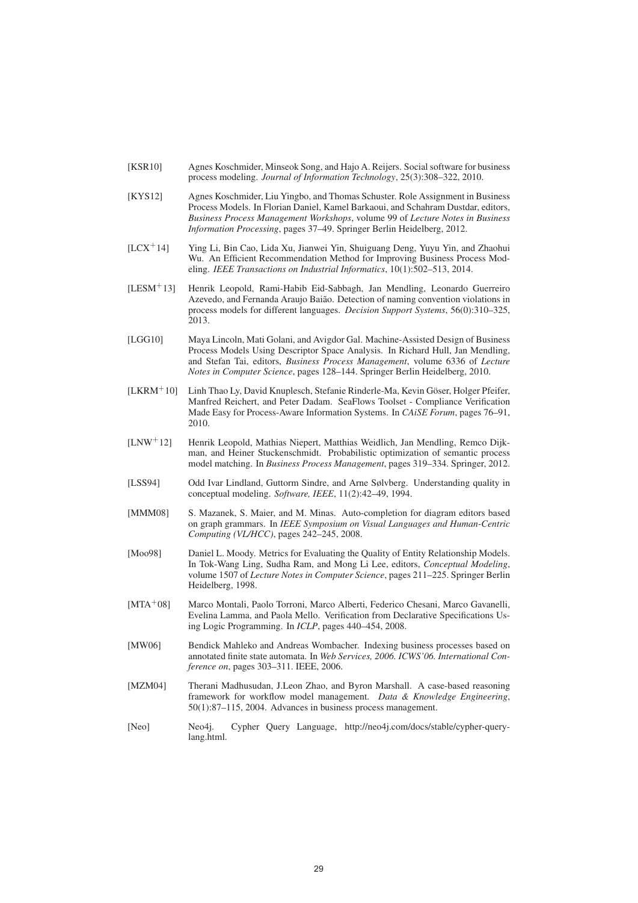- [KSR10] Agnes Koschmider, Minseok Song, and Hajo A. Reijers. Social software for business process modeling. *Journal of Information Technology*, 25(3):308–322, 2010.
- [KYS12] Agnes Koschmider, Liu Yingbo, and Thomas Schuster. Role Assignment in Business Process Models. In Florian Daniel, Kamel Barkaoui, and Schahram Dustdar, editors, *Business Process Management Workshops*, volume 99 of *Lecture Notes in Business Information Processing*, pages 37–49. Springer Berlin Heidelberg, 2012.
- [LCX<sup>+</sup>14] Ying Li, Bin Cao, Lida Xu, Jianwei Yin, Shuiguang Deng, Yuyu Yin, and Zhaohui Wu. An Efficient Recommendation Method for Improving Business Process Modeling. *IEEE Transactions on Industrial Informatics*, 10(1):502–513, 2014.
- [LESM<sup>+</sup>13] Henrik Leopold, Rami-Habib Eid-Sabbagh, Jan Mendling, Leonardo Guerreiro Azevedo, and Fernanda Araujo Baião. Detection of naming convention violations in process models for different languages. *Decision Support Systems*, 56(0):310–325, 2013.
- [LGG10] Maya Lincoln, Mati Golani, and Avigdor Gal. Machine-Assisted Design of Business Process Models Using Descriptor Space Analysis. In Richard Hull, Jan Mendling, and Stefan Tai, editors, *Business Process Management*, volume 6336 of *Lecture Notes in Computer Science*, pages 128–144. Springer Berlin Heidelberg, 2010.
- [LKRM<sup>+</sup>10] Linh Thao Ly, David Knuplesch, Stefanie Rinderle-Ma, Kevin Göser, Holger Pfeifer, Manfred Reichert, and Peter Dadam. SeaFlows Toolset - Compliance Verification Made Easy for Process-Aware Information Systems. In *CAiSE Forum*, pages 76–91, 2010.
- [LNW<sup>+</sup>12] Henrik Leopold, Mathias Niepert, Matthias Weidlich, Jan Mendling, Remco Dijkman, and Heiner Stuckenschmidt. Probabilistic optimization of semantic process model matching. In *Business Process Management*, pages 319–334. Springer, 2012.
- [LSS94] Odd Ivar Lindland, Guttorm Sindre, and Arne Sølvberg. Understanding quality in conceptual modeling. *Software, IEEE*, 11(2):42–49, 1994.
- [MMM08] S. Mazanek, S. Maier, and M. Minas. Auto-completion for diagram editors based on graph grammars. In *IEEE Symposium on Visual Languages and Human-Centric Computing (VL/HCC)*, pages 242–245, 2008.
- [Moo98] Daniel L. Moody. Metrics for Evaluating the Quality of Entity Relationship Models. In Tok-Wang Ling, Sudha Ram, and Mong Li Lee, editors, *Conceptual Modeling*, volume 1507 of *Lecture Notes in Computer Science*, pages 211–225. Springer Berlin Heidelberg, 1998.
- [MTA<sup>+</sup>08] Marco Montali, Paolo Torroni, Marco Alberti, Federico Chesani, Marco Gavanelli, Evelina Lamma, and Paola Mello. Verification from Declarative Specifications Using Logic Programming. In *ICLP*, pages 440–454, 2008.
- [MW06] Bendick Mahleko and Andreas Wombacher. Indexing business processes based on annotated finite state automata. In *Web Services, 2006. ICWS'06. International Conference on*, pages 303–311. IEEE, 2006.
- [MZM04] Therani Madhusudan, J.Leon Zhao, and Byron Marshall. A case-based reasoning framework for workflow model management. *Data & Knowledge Engineering*, 50(1):87–115, 2004. Advances in business process management.
- [Neo] Neo4j. Cypher Query Language, http://neo4j.com/docs/stable/cypher-querylang.html.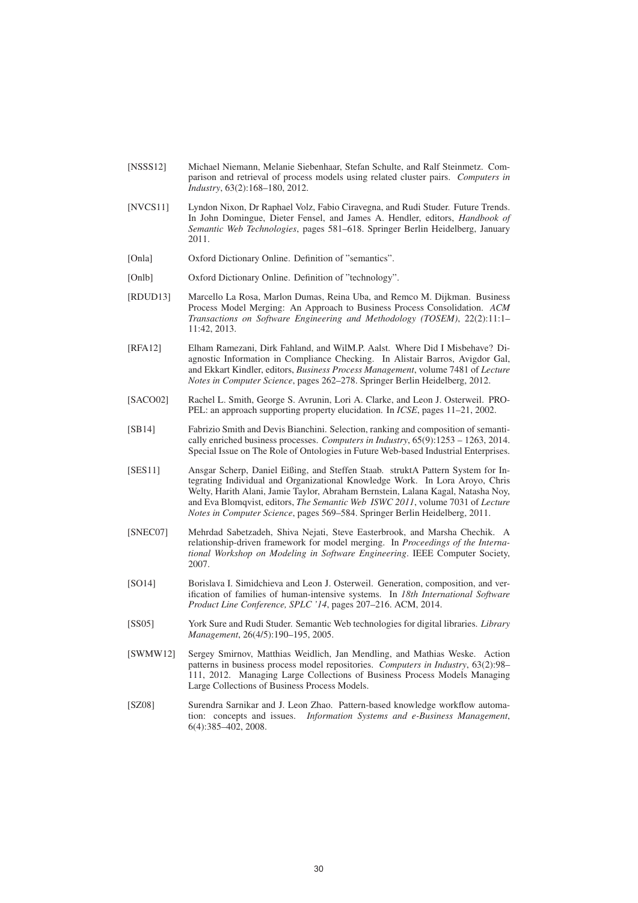- [NSSS12] Michael Niemann, Melanie Siebenhaar, Stefan Schulte, and Ralf Steinmetz. Comparison and retrieval of process models using related cluster pairs. *Computers in Industry*, 63(2):168–180, 2012.
- [NVCS11] Lyndon Nixon, Dr Raphael Volz, Fabio Ciravegna, and Rudi Studer. Future Trends. In John Domingue, Dieter Fensel, and James A. Hendler, editors, *Handbook of Semantic Web Technologies*, pages 581–618. Springer Berlin Heidelberg, January 2011.
- [Onla] Oxford Dictionary Online. Definition of "semantics".
- [Onlb] Oxford Dictionary Online. Definition of "technology".
- [RDUD13] Marcello La Rosa, Marlon Dumas, Reina Uba, and Remco M. Dijkman. Business Process Model Merging: An Approach to Business Process Consolidation. *ACM Transactions on Software Engineering and Methodology (TOSEM)*, 22(2):11:1– 11:42, 2013.
- [RFA12] Elham Ramezani, Dirk Fahland, and WilM.P. Aalst. Where Did I Misbehave? Diagnostic Information in Compliance Checking. In Alistair Barros, Avigdor Gal, and Ekkart Kindler, editors, *Business Process Management*, volume 7481 of *Lecture Notes in Computer Science*, pages 262–278. Springer Berlin Heidelberg, 2012.
- [SACO02] Rachel L. Smith, George S. Avrunin, Lori A. Clarke, and Leon J. Osterweil. PRO-PEL: an approach supporting property elucidation. In *ICSE*, pages 11–21, 2002.
- [SB14] Fabrizio Smith and Devis Bianchini. Selection, ranking and composition of semantically enriched business processes. *Computers in Industry*, 65(9):1253 – 1263, 2014. Special Issue on The Role of Ontologies in Future Web-based Industrial Enterprises.
- [SES11] Ansgar Scherp, Daniel Eißing, and Steffen Staab. struktA Pattern System for Integrating Individual and Organizational Knowledge Work. In Lora Aroyo, Chris Welty, Harith Alani, Jamie Taylor, Abraham Bernstein, Lalana Kagal, Natasha Noy, and Eva Blomqvist, editors, *The Semantic Web ISWC 2011*, volume 7031 of *Lecture Notes in Computer Science*, pages 569–584. Springer Berlin Heidelberg, 2011.
- [SNEC07] Mehrdad Sabetzadeh, Shiva Nejati, Steve Easterbrook, and Marsha Chechik. A relationship-driven framework for model merging. In *Proceedings of the International Workshop on Modeling in Software Engineering*. IEEE Computer Society, 2007.
- [SO14] Borislava I. Simidchieva and Leon J. Osterweil. Generation, composition, and verification of families of human-intensive systems. In *18th International Software Product Line Conference, SPLC '14*, pages 207–216. ACM, 2014.
- [SS05] York Sure and Rudi Studer. Semantic Web technologies for digital libraries. *Library Management*, 26(4/5):190–195, 2005.
- [SWMW12] Sergey Smirnov, Matthias Weidlich, Jan Mendling, and Mathias Weske. Action patterns in business process model repositories. *Computers in Industry*, 63(2):98– 111, 2012. Managing Large Collections of Business Process Models Managing Large Collections of Business Process Models.
- [SZ08] Surendra Sarnikar and J. Leon Zhao. Pattern-based knowledge workflow automation: concepts and issues. *Information Systems and e-Business Management*,  $6(4)$ :385–402, 2008.